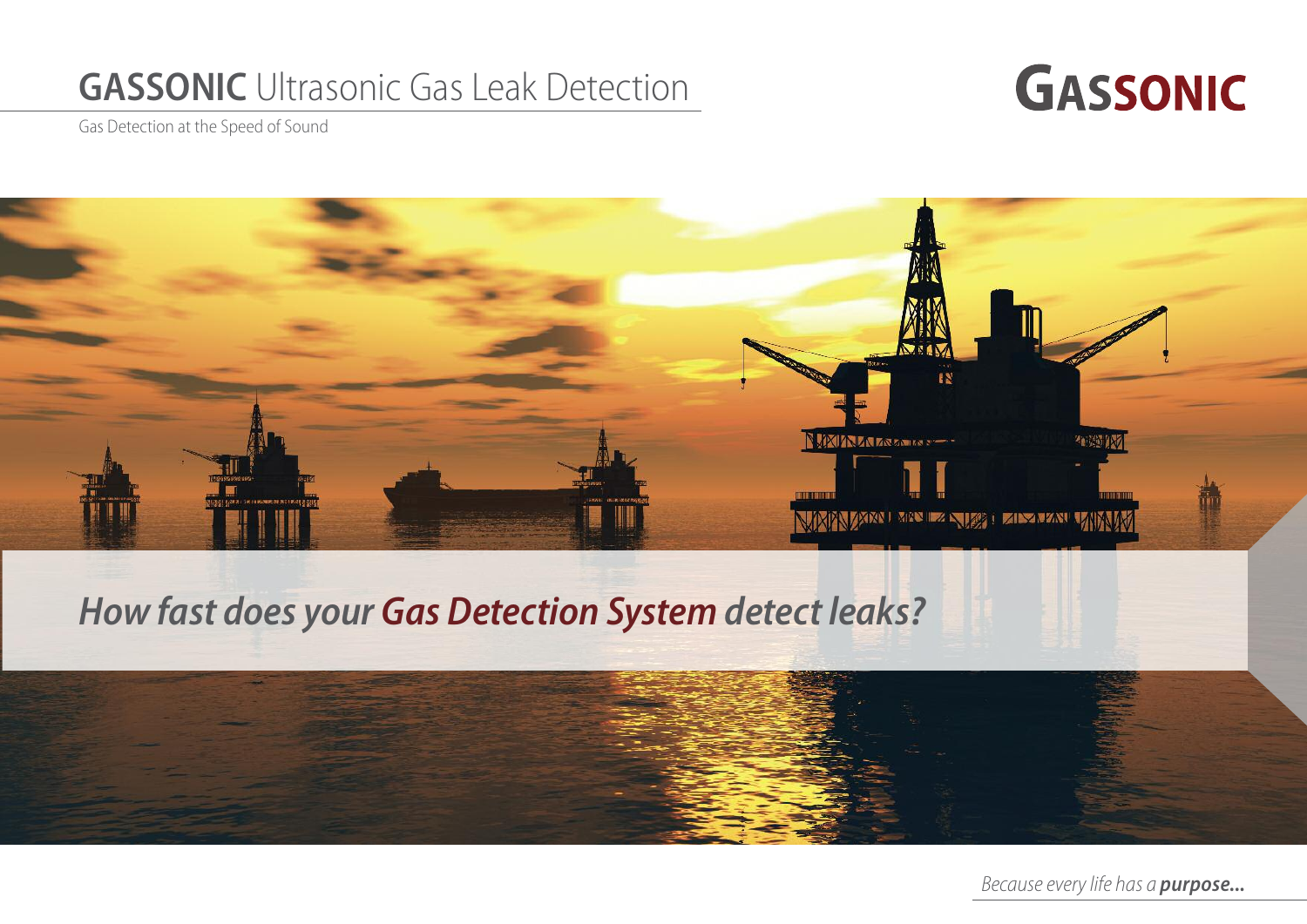## **GASSONIC** Ultrasonic Gas Leak Detection



Gas Detection at the Speed of Sound



## *How fast does your Gas Detection System detect leaks?*



*Because every life has a purpose...*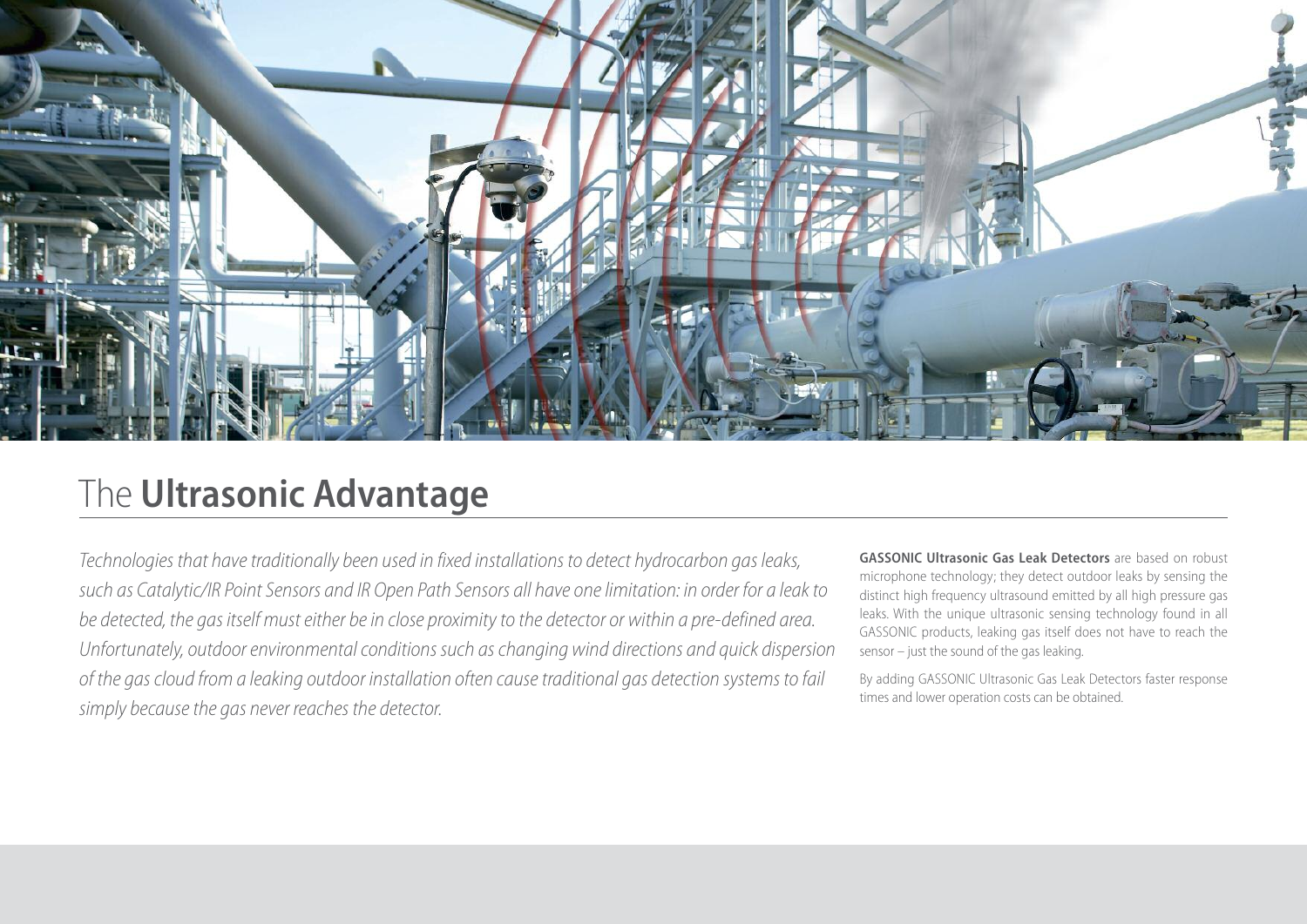

### The **Ultrasonic Advantage**

*Technologies that have traditionally been used in fixed installations to detect hydrocarbon gas leaks,* such as Catalytic/IR Point Sensors and IR Open Path Sensors all have one limitation: in order for a leak to *be detected, the gas itself musteither bein close proximityto the detector or within a pre-defined area. Unfortunately, outdoorenvironmentalconditions such aschanging wind directions and quick dispersion of the gascloud from a leaking outdoor installation often causetraditional gas detection systems to fail simply becausethe gas never reaches the detector.*

**GASSONIC Ultrasonic Gas Leak Detectors** are based on robust microphone technology; they detect outdoor leaks by sensing the distinct high frequency ultrasound emitted by all high pressure gas leaks. With the unique ultrasonic sensing technology found in all GASSONIC products, leaking gas itself does not have to reach the sensor – just the sound of the gas leaking.

By adding GASSONIC Ultrasonic Gas Leak Detectors faster response times and lower operation costs can be obtained.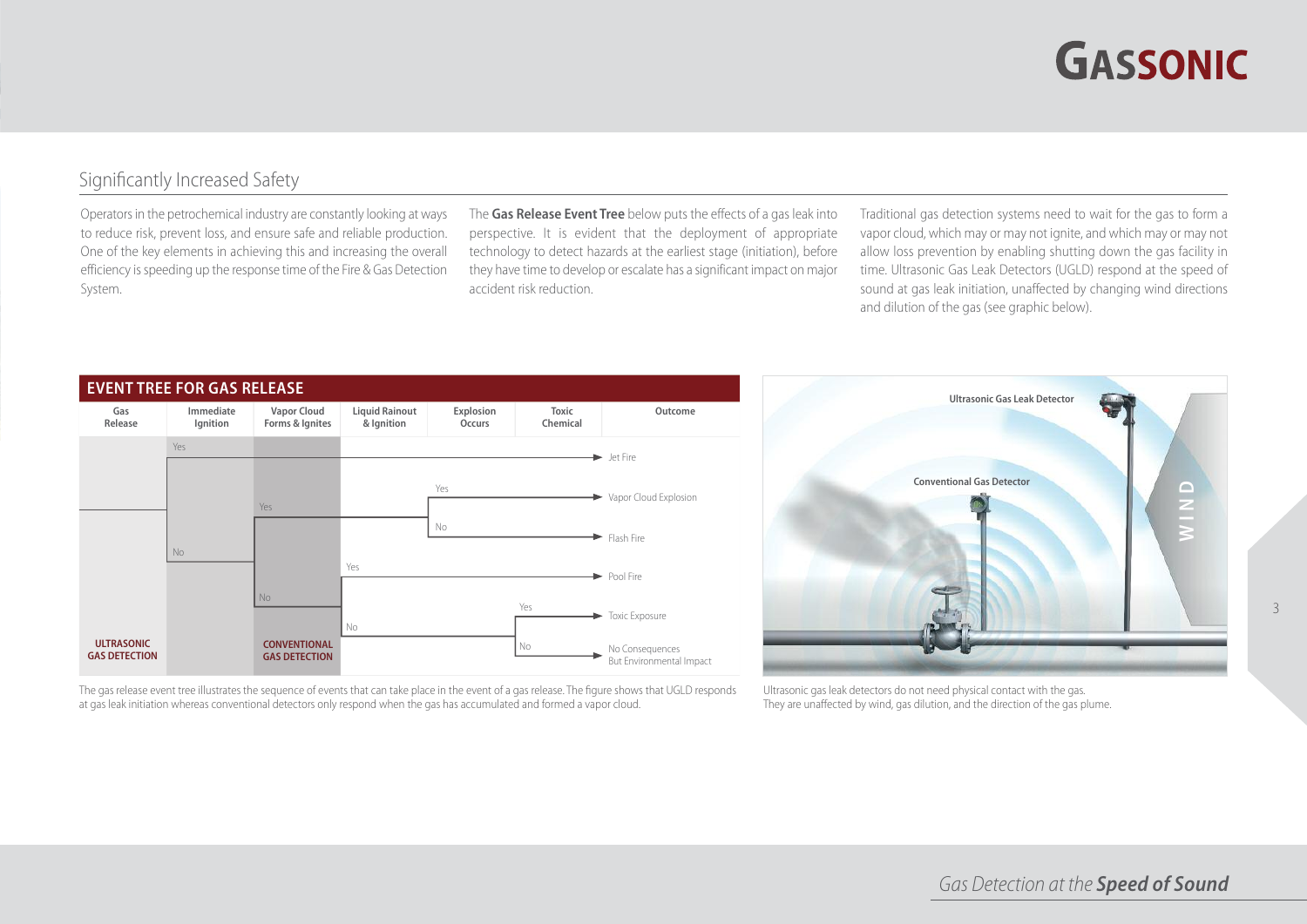# **GASSONIC**

3

#### Significantly Increased Safety

Operators in the petrochemical industry are constantly looking at ways to reduce risk, prevent loss, and ensure safe and reliable production. One of the key elements in achieving this and increasing the overall efficiency is speeding up the response time of the Fire & Gas Detection System.

The **Gas Release Event Tree** below puts the effects of a gas leakinto perspective. It is evident that the deployment of appropriate technology to detect hazards at the earliest stage (initiation), before they have time to develop or escalate has a significant impact on major accident risk reduction.

Traditional gas detection systems need to wait for the gas to form a vapor cloud, which may or may not ignite, and which may or may not allow loss prevention by enabling shutting down the gas facility in time. Ultrasonic Gas Leak Detectors (UGLD) respond at the speed of sound at gas leak initiation, unaffected by changing wind directions and dilution of the gas (see graphic below).



The gas release event tree illustrates the sequence of events that can take place in the event of a gas release. The figure shows that UGLD responds at gas leak initiation whereas conventional detectors only respond when the gas has accumulated and formed a vapor cloud.



Ultrasonic gas leak detectors do not need physical contact with the gas. They are unaffected by wind, gas dilution, and the direction of the gas plume.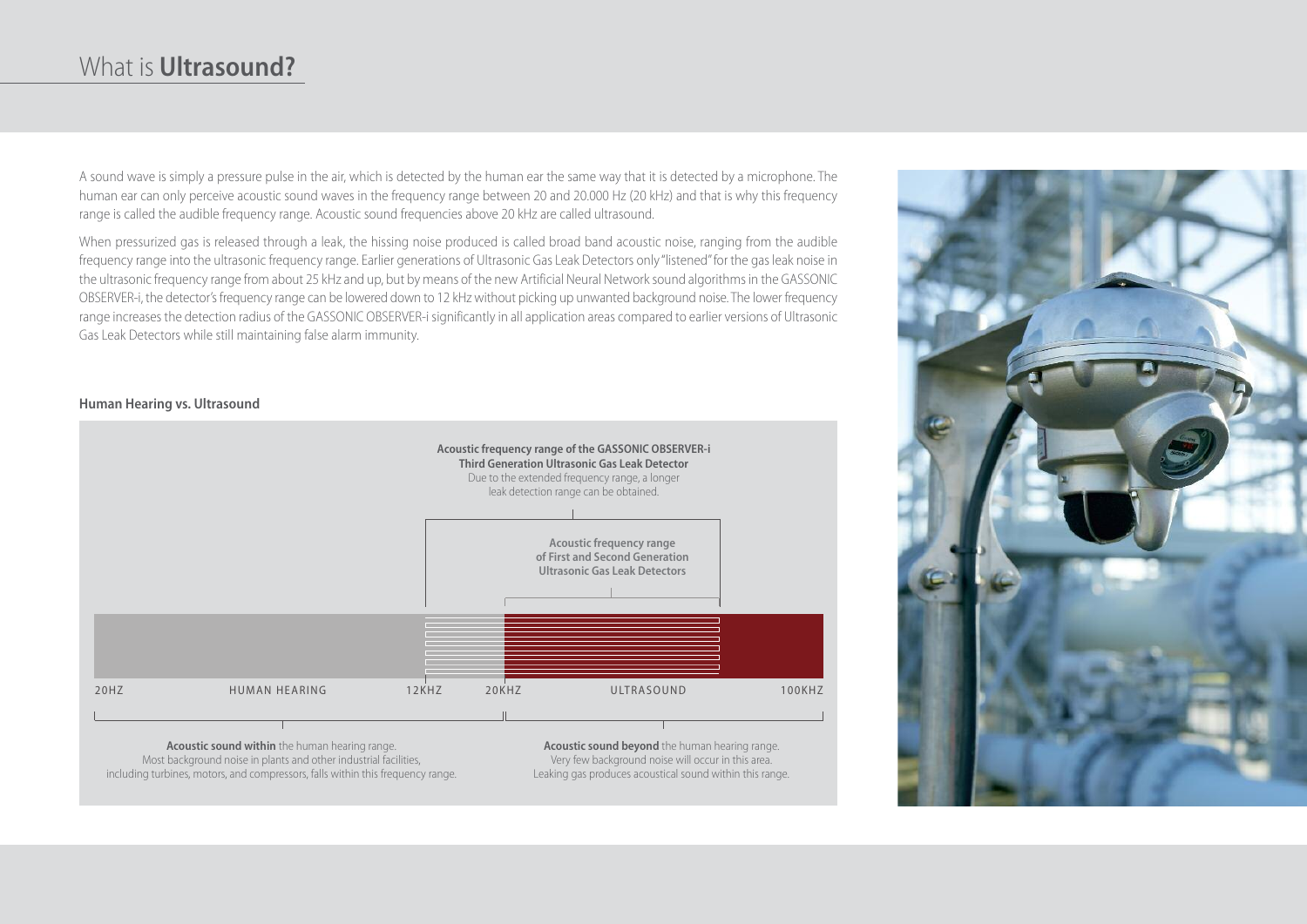### What is **Ultrasound?**

A sound wave is simply a pressure pulse in the air, which is detected by the human ear the same way that it is detected by a microphone. The human ear can only perceive acoustic sound waves in the frequency range between 20 and 20.000 Hz (20 kHz) and that is why this frequency range is called the audible frequency range. Acoustic sound frequencies above 20 kHz are called ultrasound.

When pressurized gas is released through a leak, the hissing noise produced is called broad band acoustic noise, ranging from the audible frequency range into the ultrasonic frequency range. Earlier generations of Ultrasonic Gas Leak Detectors only "listened" for the gas leak noise in the ultrasonic frequency range from about 25 kHz and up, but by means of the new Artificial Neural Network sound algorithms in the GASSONIC OBSERVER-i, the detector'sfrequency range can be lowered down to 12 kHzwithout picking up unwanted background noise. The lower frequency range increases the detection radius of the GASSONIC OBSERVER-i significantly in all application areas compared to earlier versions of Ultrasonic Gas Leak Detectors while still maintaining false alarm immunity.

#### **Human Hearing vs. Ultrasound**



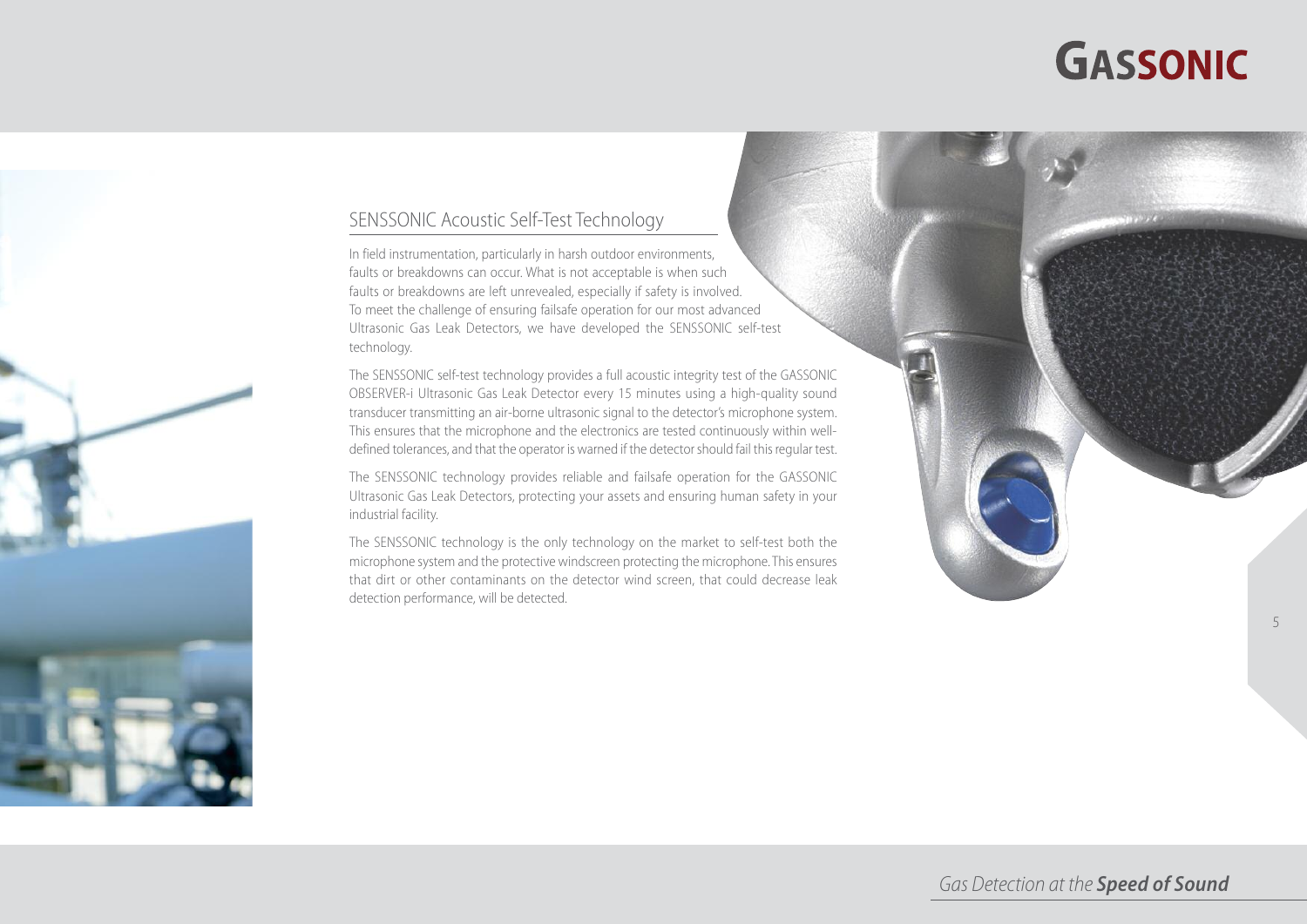# **GASSONIC**

5



In field instrumentation, particularly in harsh outdoor environments, faults or breakdowns can occur. What is not acceptable is when such faults or breakdowns are left unrevealed, especially if safety is involved. To meet the challenge of ensuring failsafe operation for our most advanced Ultrasonic Gas Leak Detectors, we have developed the SENSSONIC self-test technology.

The SENSSONIC self-test technology provides a full acoustic integrity test of the GASSONIC OBSERVER-i Ultrasonic Gas Leak Detector every 15 minutes using a high-quality sound transducer transmitting an air-borne ultrasonic signal to the detector's microphone system. This ensures that the microphone and the electronics are tested continuously within welldefined tolerances, and that the operator is warned if the detector should fail this regular test.

The SENSSONIC technology provides reliable and failsafe operation for the GASSONIC Ultrasonic Gas Leak Detectors, protecting your assets and ensuring human safety in your industrial facility.

The SENSSONIC technology is the only technology on the market to self-test both the microphone system and the protective windscreen protecting the microphone. This ensures that dirt or other contaminants on the detector wind screen, that could decrease leak detection performance, will be detected.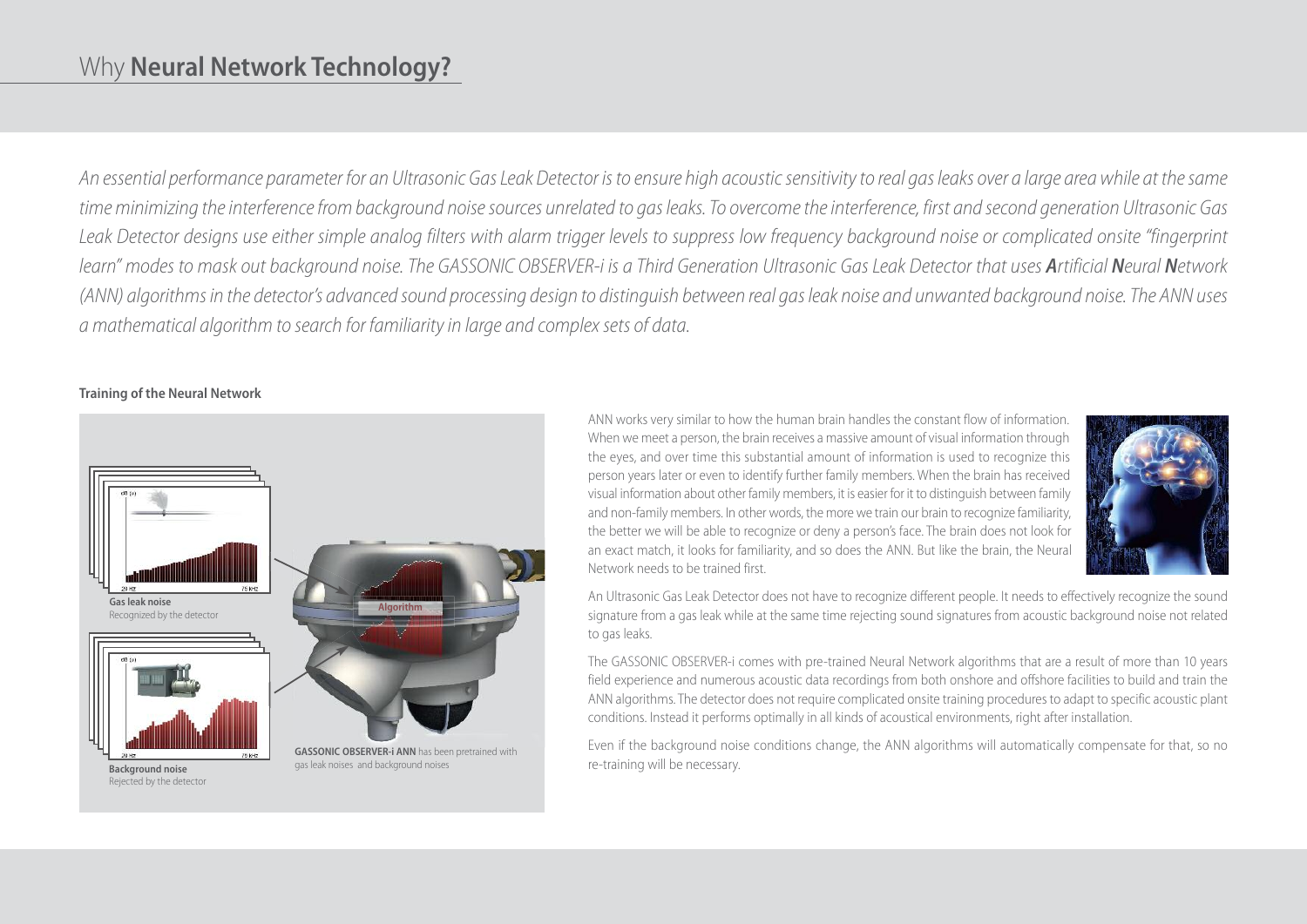### Why **Neural Network Technology?**

An essential performance parameter for an Ultrasonic Gas Leak Detector is to ensure high acoustic sensitivity to real gas leaks over a large area while at the same time minimizing the interference from background noise sources unrelated to gas leaks. To overcome the interference, first and second generation Ultrasonic Gas Leak Detector designs use either simple analog filters with alarm trigger levels to suppress low frequency background noise or complicated onsite "fingerprint learn" modes to mask out background noise. The GASSONIC OBSERVER-i is a Third Generation Ultrasonic Gas Leak Detector that uses Artificial Neural Network (ANN) algorithms in the detector's advanced sound processing design to distinguish between real gas leak noise and unwanted background noise. The ANN uses *a mathematical algorithm to search for familiarityin large and complexsets of data.*

#### **Training of the Neural Network**



ANN works very similar to how the human brain handles the constant flow of information. When we meet a person, the brain receives a massive amount of visual information through the eyes, and over time this substantial amount of information is used to recognize this person years later or even to identify further family members. When the brain has received visual information about other family members, it is easier for it to distinguish between family and non-family members. In other words, the more we train our brain to recognize familiarity, the better we will be able to recognize or deny a person's face. The brain does not look for an exact match, it looks for familiarity, and so does the ANN. But like the brain, the Neural Network needs to be trained first.



An Ultrasonic Gas Leak Detector does not have to recognize different people. It needs to effectively recognize the sound signature from a gas leak while at the same time rejecting sound signatures from acoustic background noise not related to gas leaks.

The GASSONIC OBSERVER-i comes with pre-trained Neural Network algorithms that are a result of more than 10 years field experience and numerous acoustic data recordings from both onshore and offshore facilities to build and train the ANN algorithms. The detector does not require complicated onsite training procedures to adapt to specific acoustic plant conditions. Instead it performs optimally in all kinds of acoustical environments, right after installation.

Even if the background noise conditions change, the ANN algorithms will automatically compensate for that, so no re-training will be necessary.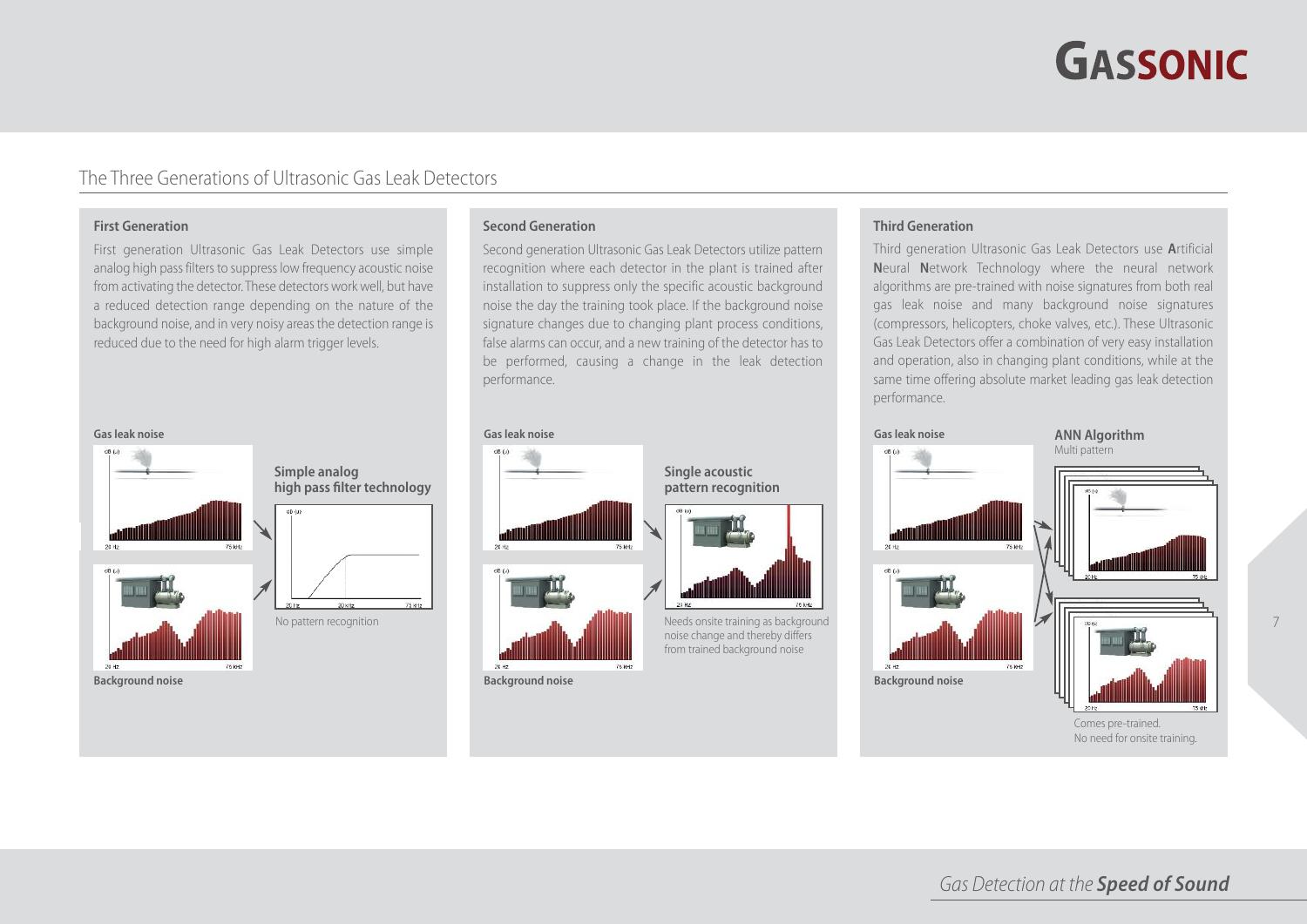# **GASSONIC**

7

### The Three Generations of Ultrasonic Gas Leak Detectors

#### **First Generation**

First generation Ultrasonic Gas Leak Detectors use simple analog high pass filters to suppress low frequency acoustic noise from activating the detector. These detectors work well, but have a reduced detection range depending on the nature of the background noise, and in very noisy areas the detection range is reduced due to the need for high alarm trigger levels.

#### **Gasleak noise**



**high pass filter technology**

**Simple analog**

#### **Second Generation**

Second generation Ultrasonic Gas Leak Detectors utilize pattern recognition where each detector in the plant is trained after installation to suppress only the specific acoustic background noise the day the training took place. If the background noise signature changes due to changing plant process conditions, false alarms can occur, and a new training of the detector has to be performed, causing a change in the leak detection performance.



**Background noise**

#### **Third Generation**

Third generation Ultrasonic Gas Leak Detectors use **A**rtificial **N**eural **N**etwork Technology where the neural network algorithms are pre-trained with noise signatures from both real gas leak noise and many background noise signatures (compressors, helicopters, choke valves, etc.). These Ultrasonic Gas Leak Detectors offer a combination of very easy installation and operation, also in changing plant conditions, while at the same time offering absolute market leading gas leak detection performance.